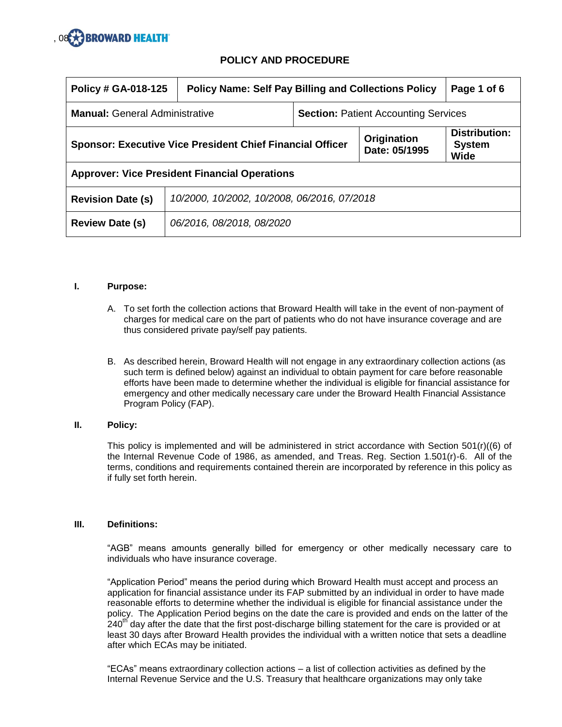

| Policy # GA-018-125                                              | <b>Policy Name: Self Pay Billing and Collections Policy</b> |                                             | Page 1 of 6                                   |  |
|------------------------------------------------------------------|-------------------------------------------------------------|---------------------------------------------|-----------------------------------------------|--|
| <b>Manual: General Administrative</b>                            |                                                             | <b>Section: Patient Accounting Services</b> |                                               |  |
| <b>Sponsor: Executive Vice President Chief Financial Officer</b> |                                                             | Origination<br>Date: 05/1995                | <b>Distribution:</b><br><b>System</b><br>Wide |  |
| <b>Approver: Vice President Financial Operations</b>             |                                                             |                                             |                                               |  |
| <b>Revision Date (s)</b>                                         | 10/2000, 10/2002, 10/2008, 06/2016, 07/2018                 |                                             |                                               |  |
| <b>Review Date (s)</b>                                           | 06/2016, 08/2018, 08/2020                                   |                                             |                                               |  |

#### **I. Purpose:**

- A. To set forth the collection actions that Broward Health will take in the event of non-payment of charges for medical care on the part of patients who do not have insurance coverage and are thus considered private pay/self pay patients.
- B. As described herein, Broward Health will not engage in any extraordinary collection actions (as such term is defined below) against an individual to obtain payment for care before reasonable efforts have been made to determine whether the individual is eligible for financial assistance for emergency and other medically necessary care under the Broward Health Financial Assistance Program Policy (FAP).

#### **II. Policy:**

This policy is implemented and will be administered in strict accordance with Section 501(r)((6) of the Internal Revenue Code of 1986, as amended, and Treas. Reg. Section 1.501(r)-6. All of the terms, conditions and requirements contained therein are incorporated by reference in this policy as if fully set forth herein.

#### **III. Definitions:**

"AGB" means amounts generally billed for emergency or other medically necessary care to individuals who have insurance coverage.

"Application Period" means the period during which Broward Health must accept and process an application for financial assistance under its FAP submitted by an individual in order to have made reasonable efforts to determine whether the individual is eligible for financial assistance under the policy. The Application Period begins on the date the care is provided and ends on the latter of the 240<sup>th</sup> day after the date that the first post-discharge billing statement for the care is provided or at least 30 days after Broward Health provides the individual with a written notice that sets a deadline after which ECAs may be initiated.

"ECAs" means extraordinary collection actions – a list of collection activities as defined by the Internal Revenue Service and the U.S. Treasury that healthcare organizations may only take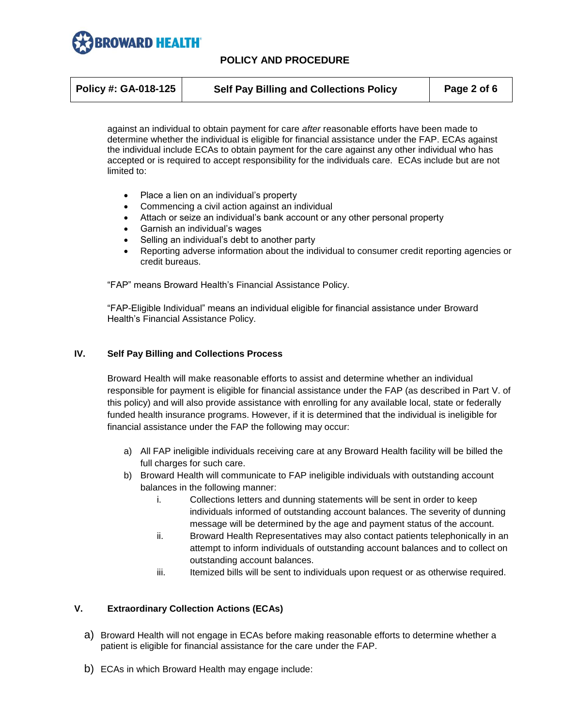

| Policy #: GA-018-125 | <b>Self Pay Billing and Collections Policy</b> | Page 2 of 6 |
|----------------------|------------------------------------------------|-------------|
|                      |                                                |             |

against an individual to obtain payment for care *after* reasonable efforts have been made to determine whether the individual is eligible for financial assistance under the FAP. ECAs against the individual include ECAs to obtain payment for the care against any other individual who has accepted or is required to accept responsibility for the individuals care. ECAs include but are not limited to:

- Place a lien on an individual's property
- Commencing a civil action against an individual
- Attach or seize an individual's bank account or any other personal property
- Garnish an individual's wages
- Selling an individual's debt to another party
- Reporting adverse information about the individual to consumer credit reporting agencies or credit bureaus.

"FAP" means Broward Health's Financial Assistance Policy.

"FAP-Eligible Individual" means an individual eligible for financial assistance under Broward Health's Financial Assistance Policy.

### **IV. Self Pay Billing and Collections Process**

Broward Health will make reasonable efforts to assist and determine whether an individual responsible for payment is eligible for financial assistance under the FAP (as described in Part V. of this policy) and will also provide assistance with enrolling for any available local, state or federally funded health insurance programs. However, if it is determined that the individual is ineligible for financial assistance under the FAP the following may occur:

- a) All FAP ineligible individuals receiving care at any Broward Health facility will be billed the full charges for such care.
- b) Broward Health will communicate to FAP ineligible individuals with outstanding account balances in the following manner:
	- i. Collections letters and dunning statements will be sent in order to keep individuals informed of outstanding account balances. The severity of dunning message will be determined by the age and payment status of the account.
	- ii. Broward Health Representatives may also contact patients telephonically in an attempt to inform individuals of outstanding account balances and to collect on outstanding account balances.
	- iii. Itemized bills will be sent to individuals upon request or as otherwise required.

## **V. Extraordinary Collection Actions (ECAs)**

- a) Broward Health will not engage in ECAs before making reasonable efforts to determine whether a patient is eligible for financial assistance for the care under the FAP.
- b) ECAs in which Broward Health may engage include: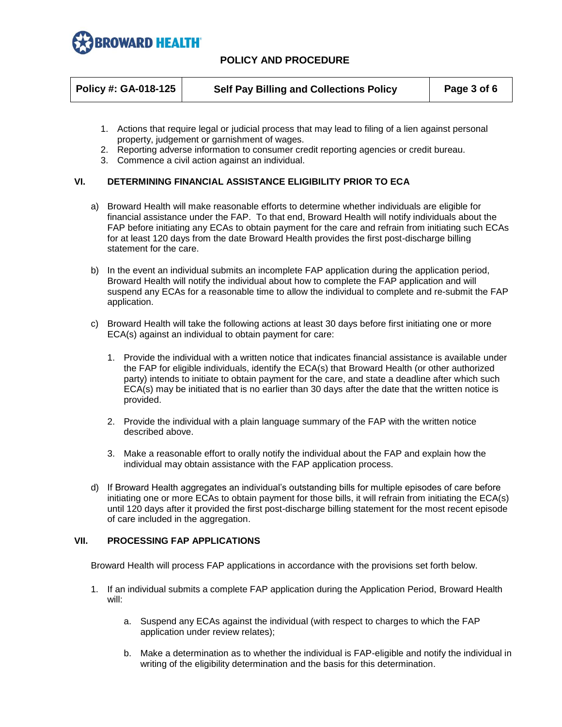

| Policy #: GA-018-125 | <b>Self Pay Billing and Collections Policy</b> | Page 3 of 6 |
|----------------------|------------------------------------------------|-------------|
|                      |                                                |             |

- 1. Actions that require legal or judicial process that may lead to filing of a lien against personal property, judgement or garnishment of wages.
- 2. Reporting adverse information to consumer credit reporting agencies or credit bureau.
- 3. Commence a civil action against an individual.

### **VI. DETERMINING FINANCIAL ASSISTANCE ELIGIBILITY PRIOR TO ECA**

- a) Broward Health will make reasonable efforts to determine whether individuals are eligible for financial assistance under the FAP. To that end, Broward Health will notify individuals about the FAP before initiating any ECAs to obtain payment for the care and refrain from initiating such ECAs for at least 120 days from the date Broward Health provides the first post-discharge billing statement for the care.
- b) In the event an individual submits an incomplete FAP application during the application period, Broward Health will notify the individual about how to complete the FAP application and will suspend any ECAs for a reasonable time to allow the individual to complete and re-submit the FAP application.
- c) Broward Health will take the following actions at least 30 days before first initiating one or more ECA(s) against an individual to obtain payment for care:
	- 1. Provide the individual with a written notice that indicates financial assistance is available under the FAP for eligible individuals, identify the ECA(s) that Broward Health (or other authorized party) intends to initiate to obtain payment for the care, and state a deadline after which such ECA(s) may be initiated that is no earlier than 30 days after the date that the written notice is provided.
	- 2. Provide the individual with a plain language summary of the FAP with the written notice described above.
	- 3. Make a reasonable effort to orally notify the individual about the FAP and explain how the individual may obtain assistance with the FAP application process.
- d) If Broward Health aggregates an individual's outstanding bills for multiple episodes of care before initiating one or more ECAs to obtain payment for those bills, it will refrain from initiating the ECA(s) until 120 days after it provided the first post-discharge billing statement for the most recent episode of care included in the aggregation.

#### **VII. PROCESSING FAP APPLICATIONS**

Broward Health will process FAP applications in accordance with the provisions set forth below.

- 1. If an individual submits a complete FAP application during the Application Period, Broward Health will:
	- a. Suspend any ECAs against the individual (with respect to charges to which the FAP application under review relates);
	- b. Make a determination as to whether the individual is FAP-eligible and notify the individual in writing of the eligibility determination and the basis for this determination.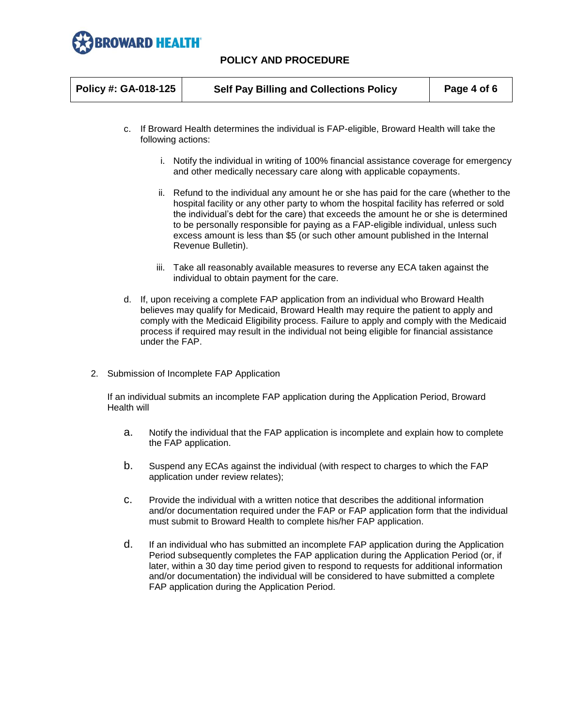

| Policy #: GA-018-125 | <b>Self Pay Billing and Collections Policy</b> | Page 4 of 6 |
|----------------------|------------------------------------------------|-------------|
|                      |                                                |             |

- c. If Broward Health determines the individual is FAP-eligible, Broward Health will take the following actions:
	- i. Notify the individual in writing of 100% financial assistance coverage for emergency and other medically necessary care along with applicable copayments.
	- ii. Refund to the individual any amount he or she has paid for the care (whether to the hospital facility or any other party to whom the hospital facility has referred or sold the individual's debt for the care) that exceeds the amount he or she is determined to be personally responsible for paying as a FAP-eligible individual, unless such excess amount is less than \$5 (or such other amount published in the Internal Revenue Bulletin).
	- iii. Take all reasonably available measures to reverse any ECA taken against the individual to obtain payment for the care.
- d. If, upon receiving a complete FAP application from an individual who Broward Health believes may qualify for Medicaid, Broward Health may require the patient to apply and comply with the Medicaid Eligibility process. Failure to apply and comply with the Medicaid process if required may result in the individual not being eligible for financial assistance under the FAP.
- 2. Submission of Incomplete FAP Application

If an individual submits an incomplete FAP application during the Application Period, Broward Health will

- a. Notify the individual that the FAP application is incomplete and explain how to complete the FAP application.
- b. Suspend any ECAs against the individual (with respect to charges to which the FAP application under review relates);
- c. Provide the individual with a written notice that describes the additional information and/or documentation required under the FAP or FAP application form that the individual must submit to Broward Health to complete his/her FAP application.
- d. If an individual who has submitted an incomplete FAP application during the Application Period subsequently completes the FAP application during the Application Period (or, if later, within a 30 day time period given to respond to requests for additional information and/or documentation) the individual will be considered to have submitted a complete FAP application during the Application Period.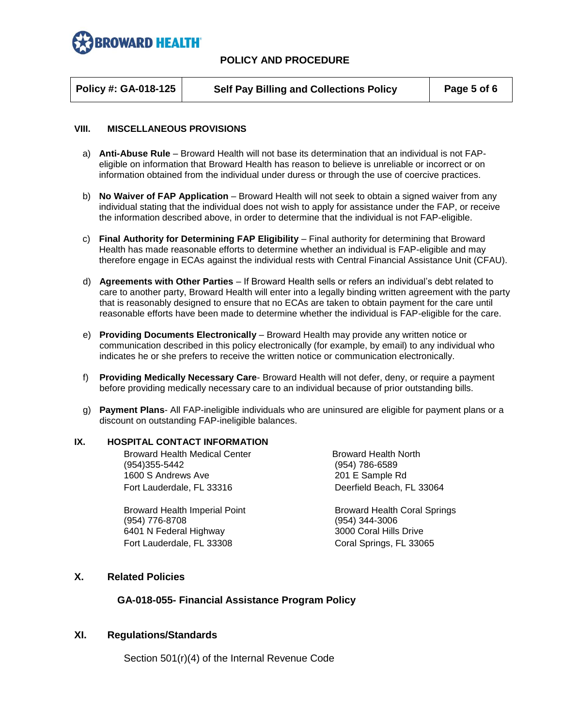

**Policy #: GA-018-125 Self Pay Billing and Collections Policy Page 5 of 6**

#### **VIII. MISCELLANEOUS PROVISIONS**

- a) **Anti-Abuse Rule**  Broward Health will not base its determination that an individual is not FAPeligible on information that Broward Health has reason to believe is unreliable or incorrect or on information obtained from the individual under duress or through the use of coercive practices.
- b) **No Waiver of FAP Application**  Broward Health will not seek to obtain a signed waiver from any individual stating that the individual does not wish to apply for assistance under the FAP, or receive the information described above, in order to determine that the individual is not FAP-eligible.
- c) **Final Authority for Determining FAP Eligibility**  Final authority for determining that Broward Health has made reasonable efforts to determine whether an individual is FAP-eligible and may therefore engage in ECAs against the individual rests with Central Financial Assistance Unit (CFAU).
- d) **Agreements with Other Parties** If Broward Health sells or refers an individual's debt related to care to another party, Broward Health will enter into a legally binding written agreement with the party that is reasonably designed to ensure that no ECAs are taken to obtain payment for the care until reasonable efforts have been made to determine whether the individual is FAP-eligible for the care.
- e) **Providing Documents Electronically**  Broward Health may provide any written notice or communication described in this policy electronically (for example, by email) to any individual who indicates he or she prefers to receive the written notice or communication electronically.
- f) **Providing Medically Necessary Care** Broward Health will not defer, deny, or require a payment before providing medically necessary care to an individual because of prior outstanding bills.
- g) **Payment Plans** All FAP-ineligible individuals who are uninsured are eligible for payment plans or a discount on outstanding FAP-ineligible balances.

#### **IX. HOSPITAL CONTACT INFORMATION**

Broward Health Medical Center **Broward Health North** (954)355-5442 (954) 786-6589 1600 S Andrews Ave 201 E Sample Rd Fort Lauderdale, FL 33316 Deerfield Beach, FL 33064

(954) 776-8708 (954) 344-3006 6401 N Federal Highway 3000 Coral Hills Drive Fort Lauderdale, FL 33308 Coral Springs, FL 33065

Broward Health Imperial Point **Broward Health Coral Springs** 

## **X. Related Policies**

## **GA-018-055- Financial Assistance Program Policy**

## **XI. Regulations/Standards**

Section 501(r)(4) of the Internal Revenue Code